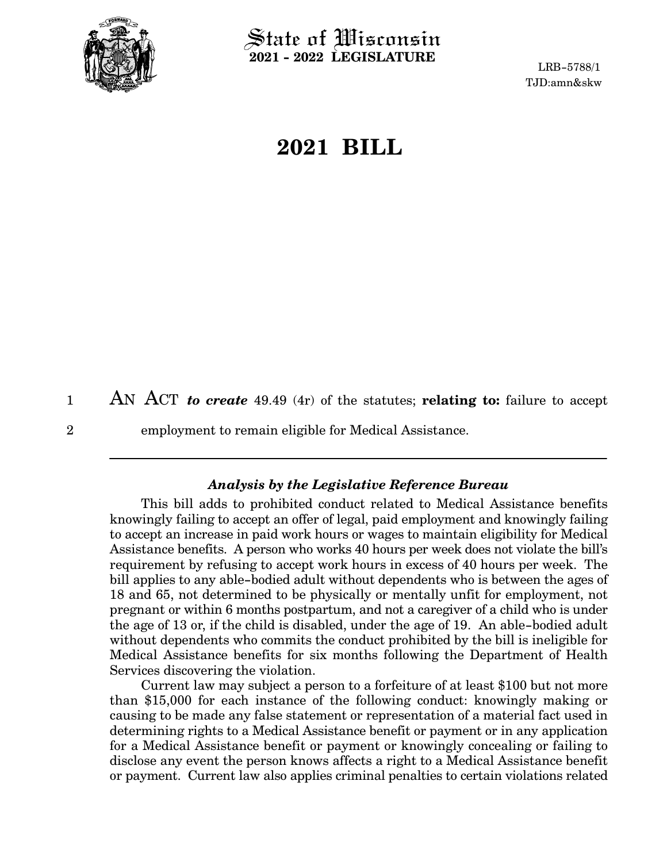

 $\operatorname{\mathsf{State}}$  of Wisconsin **2021 - 2022 LEGISLATURE**

LRB-5788/1 TJD:amn&skw

# **2021 BILL**

AN ACT *to create* 49.49 (4r) of the statutes; **relating to:** failure to accept 1

2

employment to remain eligible for Medical Assistance.

#### *Analysis by the Legislative Reference Bureau*

This bill adds to prohibited conduct related to Medical Assistance benefits knowingly failing to accept an offer of legal, paid employment and knowingly failing to accept an increase in paid work hours or wages to maintain eligibility for Medical Assistance benefits. A person who works 40 hours per week does not violate the bill's requirement by refusing to accept work hours in excess of 40 hours per week. The bill applies to any able-bodied adult without dependents who is between the ages of 18 and 65, not determined to be physically or mentally unfit for employment, not pregnant or within 6 months postpartum, and not a caregiver of a child who is under the age of 13 or, if the child is disabled, under the age of 19. An able-bodied adult without dependents who commits the conduct prohibited by the bill is ineligible for Medical Assistance benefits for six months following the Department of Health Services discovering the violation.

Current law may subject a person to a forfeiture of at least \$100 but not more than \$15,000 for each instance of the following conduct: knowingly making or causing to be made any false statement or representation of a material fact used in determining rights to a Medical Assistance benefit or payment or in any application for a Medical Assistance benefit or payment or knowingly concealing or failing to disclose any event the person knows affects a right to a Medical Assistance benefit or payment. Current law also applies criminal penalties to certain violations related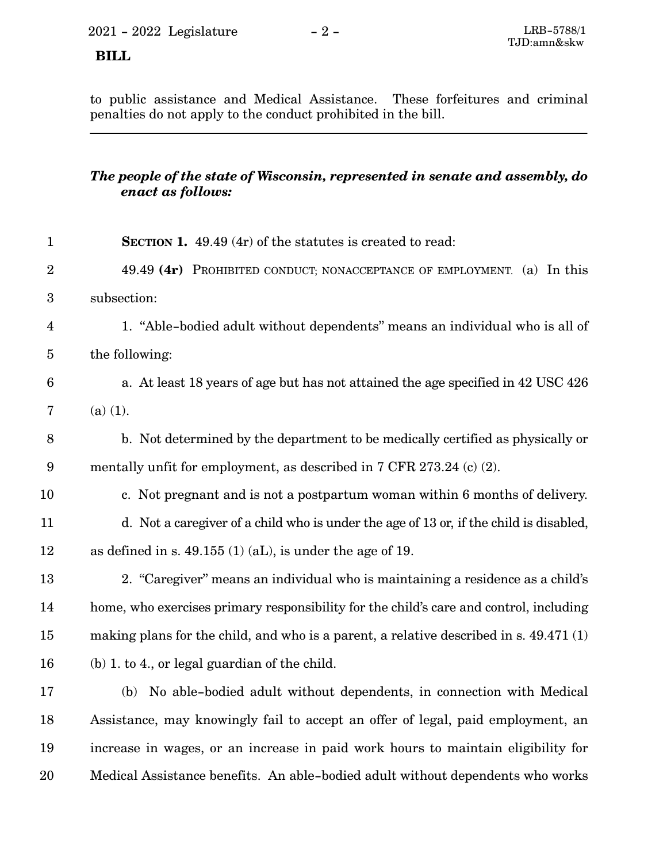### **BILL**

to public assistance and Medical Assistance. These forfeitures and criminal penalties do not apply to the conduct prohibited in the bill.

## *The people of the state of Wisconsin, represented in senate and assembly, do enact as follows:*

| $\mathbf{1}$    | SECTION 1. 49.49 (4r) of the statutes is created to read:                              |
|-----------------|----------------------------------------------------------------------------------------|
| $\overline{2}$  | 49.49 (4r) PROHIBITED CONDUCT; NONACCEPTANCE OF EMPLOYMENT. (a) In this                |
| 3               | subsection:                                                                            |
| $\overline{4}$  | 1. "Able-bodied adult without dependents" means an individual who is all of            |
| $\overline{5}$  | the following:                                                                         |
| $6\phantom{.}6$ | a. At least 18 years of age but has not attained the age specified in 42 USC 426       |
| 7               | $(a)$ (1).                                                                             |
| 8               | b. Not determined by the department to be medically certified as physically or         |
| $9\phantom{.0}$ | mentally unfit for employment, as described in 7 CFR 273.24 (c) (2).                   |
| 10              | c. Not pregnant and is not a postpartum woman within 6 months of delivery.             |
| 11              | d. Not a caregiver of a child who is under the age of 13 or, if the child is disabled, |
| 12              | as defined in s. $49.155(1)(aL)$ , is under the age of 19.                             |
| 13              | 2. "Caregiver" means an individual who is maintaining a residence as a child's         |
| 14              | home, who exercises primary responsibility for the child's care and control, including |
| 15              | making plans for the child, and who is a parent, a relative described in s. 49.471 (1) |
| 16              | $(b)$ 1. to 4., or legal guardian of the child.                                        |
| 17              | (b) No able-bodied adult without dependents, in connection with Medical                |
| 18              | Assistance, may knowingly fail to accept an offer of legal, paid employment, an        |
| 19              | increase in wages, or an increase in paid work hours to maintain eligibility for       |
| 20              | Medical Assistance benefits. An able-bodied adult without dependents who works         |